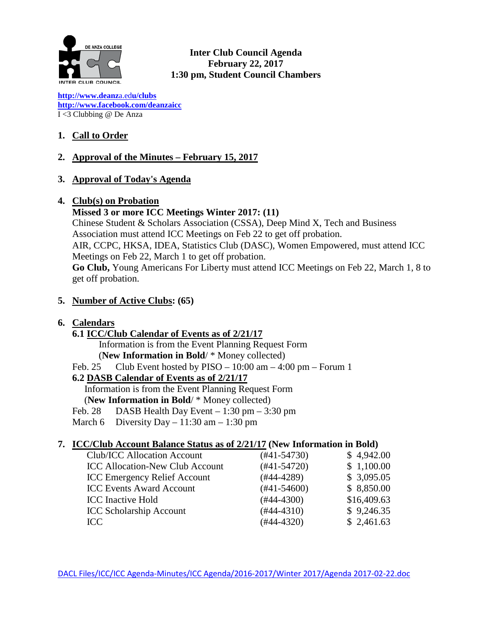

**Inter Club Council Agenda February 22, 2017 1:30 pm, Student Council Chambers**

**[http://www.deanz](http://www.deanza.edu/clubs)**[a.ed](http://www.deanza.edu/clubs)**[u/clubs](http://www.deanza.edu/clubs) [http://www.facebook.com/deanzaicc](http://www.facebook.com/home.php#!/group.php?gid=59034552686)** I <3 Clubbing @ De Anza

# **1. Call to Order**

# **2. Approval of the Minutes – February 15, 2017**

## **3. Approval of Today's Agenda**

## **4. Club(s) on Probation**

#### **Missed 3 or more ICC Meetings Winter 2017: (11)**

Chinese Student & Scholars Association (CSSA), Deep Mind X, Tech and Business Association must attend ICC Meetings on Feb 22 to get off probation. AIR, CCPC, HKSA, IDEA, Statistics Club (DASC), Women Empowered, must attend ICC Meetings on Feb 22, March 1 to get off probation.

**Go Club,** Young Americans For Liberty must attend ICC Meetings on Feb 22, March 1, 8 to get off probation.

## **5. Number of Active Clubs: (65)**

## **6. Calendars**

## **6.1 ICC/Club Calendar of Events as of 2/21/17**

Information is from the Event Planning Request Form

(**New Information in Bold**/ \* Money collected)

Feb. 25 Club Event hosted by  $PISO - 10:00$  am  $-4:00$  pm  $-$  Forum 1

# **6.2 DASB Calendar of Events as of 2/21/17**

Information is from the Event Planning Request Form (**New Information in Bold**/ \* Money collected)

Feb. 28 DASB Health Day Event  $-1:30$  pm  $-3:30$  pm

March 6 Diversity Day – 11:30 am – 1:30 pm

## **7. ICC/Club Account Balance Status as of 2/21/17 (New Information in Bold)**

| Club/ICC Allocation Account            | $(#41-54730)$    | \$4,942.00  |
|----------------------------------------|------------------|-------------|
| <b>ICC Allocation-New Club Account</b> | $(#41-54720)$    | \$1,100.00  |
| <b>ICC Emergency Relief Account</b>    | $(#44-4289)$     | \$3,095.05  |
| <b>ICC Events Award Account</b>        | $(\#41 - 54600)$ | \$8,850.00  |
| <b>ICC</b> Inactive Hold               | $(#44-4300)$     | \$16,409.63 |
| <b>ICC Scholarship Account</b>         | $(#44-4310)$     | \$9,246.35  |
| ICC                                    | $(#44-4320)$     | \$2,461.63  |